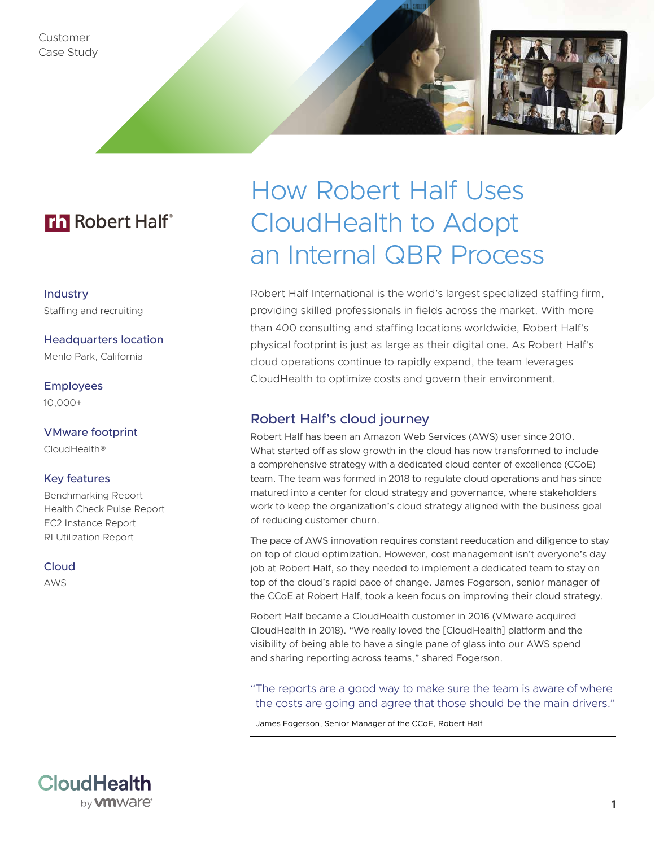Customer Case Study

## **Th** Robert Half<sup>®</sup>

Industry Staffing and recruiting

Headquarters location Menlo Park, California

Employees 10,000+

VMware footprint CloudHealth®

#### Key features

Benchmarking Report Health Check Pulse Report EC2 Instance Report RI Utilization Report

**CloudHealth** 

by **vm** Ware<sup>®</sup>

Cloud

AWS

# How Robert Half Uses CloudHealth to Adopt an Internal QBR Process

Robert Half International is the world's largest specialized staffing firm, providing skilled professionals in fields across the market. With more than 400 consulting and staffing locations worldwide, Robert Half's physical footprint is just as large as their digital one. As Robert Half's cloud operations continue to rapidly expand, the team leverages CloudHealth to optimize costs and govern their environment.

#### Robert Half's cloud journey

Robert Half has been an Amazon Web Services (AWS) user since 2010. What started off as slow growth in the cloud has now transformed to include a comprehensive strategy with a dedicated cloud center of excellence (CCoE) team. The team was formed in 2018 to regulate cloud operations and has since matured into a center for cloud strategy and governance, where stakeholders work to keep the organization's cloud strategy aligned with the business goal of reducing customer churn.

The pace of AWS innovation requires constant reeducation and diligence to stay on top of cloud optimization. However, cost management isn't everyone's day job at Robert Half, so they needed to implement a dedicated team to stay on top of the cloud's rapid pace of change. James Fogerson, senior manager of the CCoE at Robert Half, took a keen focus on improving their cloud strategy.

Robert Half became a CloudHealth customer in 2016 (VMware acquired CloudHealth in 2018). "We really loved the [CloudHealth] platform and the visibility of being able to have a single pane of glass into our AWS spend and sharing reporting across teams," shared Fogerson.

"The reports are a good way to make sure the team is aware of where the costs are going and agree that those should be the main drivers."

James Fogerson, Senior Manager of the CCoE, Robert Half